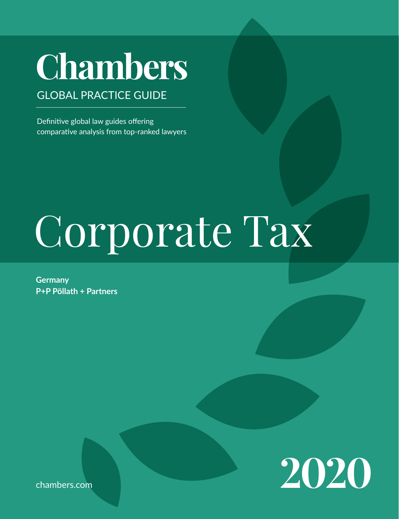# **Chambers** GLOBAL PRACTICE GUIDE

Definitive global law guides offering comparative analysis from top-ranked lawyers

# Corporate Tax

**Germany P+P Pöllath + Partners**

**2020**

chambers.com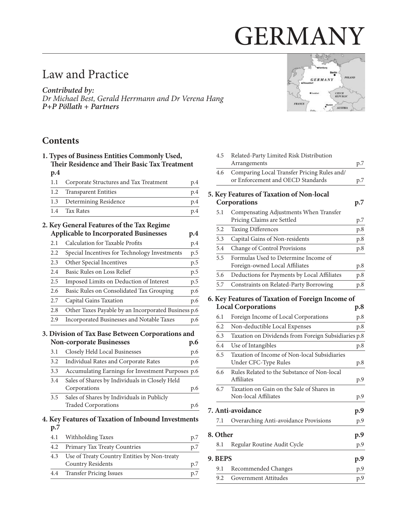# GERMANY

# Law and Practice

**Contributed by:** Dr Michael Best, Gerald Herrmann and Dr Verena Hang **P+P Pöllath + Partners**

# **Contents**

| 1. Types of Business Entities Commonly Used,<br>Their Residence and Their Basic Tax Treatment |                                                                   |     |  |
|-----------------------------------------------------------------------------------------------|-------------------------------------------------------------------|-----|--|
| p.4                                                                                           |                                                                   |     |  |
| 1.1                                                                                           | Corporate Structures and Tax Treatment                            | p.4 |  |
| 1.2                                                                                           | <b>Transparent Entities</b>                                       | p.4 |  |
| 1.3                                                                                           | Determining Residence                                             | p.4 |  |
| 1.4                                                                                           | <b>Tax Rates</b>                                                  | p.4 |  |
|                                                                                               | 2. Key General Features of the Tax Regime                         |     |  |
|                                                                                               | <b>Applicable to Incorporated Businesses</b>                      | p.4 |  |
| 2.1                                                                                           | Calculation for Taxable Profits                                   | p.4 |  |
| 2.2                                                                                           | Special Incentives for Technology Investments                     | p.5 |  |
| 2.3                                                                                           | Other Special Incentives                                          | p.5 |  |
| 2.4                                                                                           | Basic Rules on Loss Relief                                        | p.5 |  |
| 2.5                                                                                           | Imposed Limits on Deduction of Interest                           | p.5 |  |
| 2.6                                                                                           | Basic Rules on Consolidated Tax Grouping                          | p.6 |  |
| 2.7                                                                                           | Capital Gains Taxation                                            | p.6 |  |
| 2.8                                                                                           | Other Taxes Payable by an Incorporated Business p.6               |     |  |
| 2.9                                                                                           | Incorporated Businesses and Notable Taxes                         | p.6 |  |
|                                                                                               | 3. Division of Tax Base Between Corporations and                  |     |  |
|                                                                                               | <b>Non-corporate Businesses</b>                                   | p.6 |  |
| 3.1                                                                                           | Closely Held Local Businesses                                     | p.6 |  |
| 3.2                                                                                           | Individual Rates and Corporate Rates                              | p.6 |  |
| 3.3                                                                                           | Accumulating Earnings for Investment Purposes p.6                 |     |  |
| 3.4                                                                                           | Sales of Shares by Individuals in Closely Held                    |     |  |
|                                                                                               | Corporations                                                      | p.6 |  |
| 3.5                                                                                           | Sales of Shares by Individuals in Publicly                        |     |  |
|                                                                                               | <b>Traded Corporations</b>                                        | p.6 |  |
|                                                                                               | 4. Key Features of Taxation of Inbound Investments                |     |  |
| p.7<br>4.1                                                                                    |                                                                   |     |  |
| 4.2                                                                                           | Withholding Taxes                                                 | p.7 |  |
| 4.3                                                                                           | Primary Tax Treaty Countries                                      | p.7 |  |
|                                                                                               | Use of Treaty Country Entities by Non-treaty<br>Country Residents | p.7 |  |

[4.4 Transfer Pricing Issues p.7](#page-6-0)



| 4.5      | Related-Party Limited Risk Distribution                                          |     |
|----------|----------------------------------------------------------------------------------|-----|
|          | Arrangements                                                                     | p.7 |
| 4.6      | Comparing Local Transfer Pricing Rules and/<br>or Enforcement and OECD Standards | p.7 |
|          | 5. Key Features of Taxation of Non-local<br>Corporations                         | p.7 |
| 5.1      | Compensating Adjustments When Transfer<br>Pricing Claims are Settled             | p.7 |
| 5.2      | <b>Taxing Differences</b>                                                        | p.8 |
| 5.3      | Capital Gains of Non-residents                                                   | p.8 |
| 5.4      | Change of Control Provisions                                                     | p.8 |
| 5.5      | Formulas Used to Determine Income of<br>Foreign-owned Local Affiliates           | p.8 |
| 5.6      | Deductions for Payments by Local Affiliates                                      | p.8 |
| 5.7      | Constraints on Related-Party Borrowing                                           | p.8 |
|          | 6. Key Features of Taxation of Foreign Income of                                 |     |
|          | <b>Local Corporations</b>                                                        | p.8 |
| 6.1      | Foreign Income of Local Corporations                                             | p.8 |
| 6.2      | Non-deductible Local Expenses                                                    | p.8 |
| 6.3      | Taxation on Dividends from Foreign Subsidiaries p.8                              |     |
| 6.4      | Use of Intangibles                                                               | p.8 |
| 6.5      | Taxation of Income of Non-local Subsidiaries<br>Under CFC-Type Rules             | p.8 |
| 6.6      | Rules Related to the Substance of Non-local<br><b>Affiliates</b>                 | p.9 |
| 6.7      | Taxation on Gain on the Sale of Shares in<br>Non-local Affiliates                | p.9 |
|          | 7. Anti-avoidance                                                                | p.9 |
| 7.1      | Overarching Anti-avoidance Provisions                                            | p.9 |
| 8. Other |                                                                                  | p.9 |
| 8.1      | Regular Routine Audit Cycle                                                      | p.9 |
| 9. BEPS  |                                                                                  | p.9 |
| 9.1      | Recommended Changes                                                              | p.9 |

[9.2 Government Attitudes p.9](#page-8-0)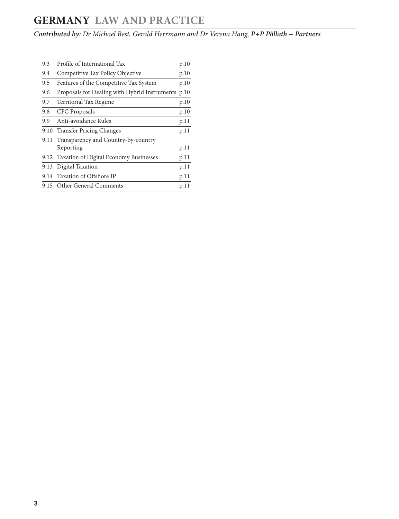# **GERMANY LAw AND PRACTICE**

**Contributed by:** Dr Michael Best, Gerald Herrmann and Dr Verena Hang, **P+P Pöllath + Partners**

| 9.3  | Profile of International Tax                       | p.10 |
|------|----------------------------------------------------|------|
| 9.4  | Competitive Tax Policy Objective                   | p.10 |
| 9.5  | Features of the Competitive Tax System             | p.10 |
| 9.6  | Proposals for Dealing with Hybrid Instruments p.10 |      |
| 9.7  | Territorial Tax Regime                             | p.10 |
| 9.8  | CFC Proposals                                      | p.10 |
| 9.9  | Anti-avoidance Rules                               | p.11 |
| 9.10 | <b>Transfer Pricing Changes</b>                    | p.11 |
|      | 9.11 Transparency and Country-by-country           |      |
|      | Reporting                                          | p.11 |
|      | 9.12 Taxation of Digital Economy Businesses        | p.11 |
|      | 9.13 Digital Taxation                              | p.11 |
|      | 9.14 Taxation of Offshore IP                       | p.11 |
|      | 9.15 Other General Comments                        | p.11 |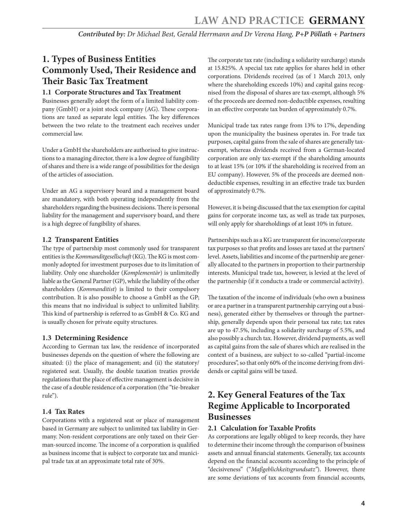# <span id="page-3-0"></span>**1. Types of Business Entities Commonly Used, Their Residence and Their Basic Tax Treatment**

#### **1.1 Corporate Structures and Tax Treatment**

Businesses generally adopt the form of a limited liability company (GmbH) or a joint stock company (AG). These corporations are taxed as separate legal entities. The key differences between the two relate to the treatment each receives under commercial law.

Under a GmbH the shareholders are authorised to give instructions to a managing director, there is a low degree of fungibility of shares and there is a wide range of possibilities for the design of the articles of association.

Under an AG a supervisory board and a management board are mandatory, with both operating independently from the shareholders regarding the business decisions. There is personal liability for the management and supervisory board, and there is a high degree of fungibility of shares.

#### **1.2 Transparent Entities**

The type of partnership most commonly used for transparent entities is the Kommanditgesellschaft (KG). The KG is most commonly adopted for investment purposes due to its limitation of liability. Only one shareholder (Komplementär) is unlimitedly liable as the General Partner (GP), while the liability of the other shareholders (Kommanditist) is limited to their compulsory contribution. It is also possible to choose a GmbH as the GP; this means that no individual is subject to unlimited liability. This kind of partnership is referred to as GmbH & Co. KG and is usually chosen for private equity structures.

#### **1.3 Determining Residence**

According to German tax law, the residence of incorporated businesses depends on the question of where the following are situated: (i) the place of management; and (ii) the statutory/ registered seat. Usually, the double taxation treaties provide regulations that the place of effective management is decisive in the case of a double residence of a corporation (the "tie-breaker rule").

#### **1.4 Tax Rates**

Corporations with a registered seat or place of management based in Germany are subject to unlimited tax liability in Germany. Non-resident corporations are only taxed on their German-sourced income. The income of a corporation is qualified as business income that is subject to corporate tax and municipal trade tax at an approximate total rate of 30%.

The corporate tax rate (including a solidarity surcharge) stands at 15.825%. A special tax rate applies for shares held in other corporations. Dividends received (as of 1 March 2013, only where the shareholding exceeds 10%) and capital gains recognised from the disposal of shares are tax-exempt, although 5% of the proceeds are deemed non-deductible expenses, resulting in an effective corporate tax burden of approximately 0.7%.

Municipal trade tax rates range from 13% to 17%, depending upon the municipality the business operates in. For trade tax purposes, capital gains from the sale of shares are generally taxexempt, whereas dividends received from a German-located corporation are only tax-exempt if the shareholding amounts to at least 15% (or 10% if the shareholding is received from an EU company). However, 5% of the proceeds are deemed nondeductible expenses, resulting in an effective trade tax burden of approximately 0.7%.

However, it is being discussed that the tax exemption for capital gains for corporate income tax, as well as trade tax purposes, will only apply for shareholdings of at least 10% in future.

Partnerships such as a KG are transparent for income/corporate tax purposes so that profits and losses are taxed at the partners' level. Assets, liabilities and income of the partnership are generally allocated to the partners in proportion to their partnership interests. Municipal trade tax, however, is levied at the level of the partnership (if it conducts a trade or commercial activity).

The taxation of the income of individuals (who own a business or are a partner in a transparent partnership carrying out a business), generated either by themselves or through the partnership, generally depends upon their personal tax rate; tax rates are up to 47.5%, including a solidarity surcharge of 5.5%, and also possibly a church tax. However, dividend payments, as well as capital gains from the sale of shares which are realised in the context of a business, are subject to so-called "partial-income procedures", so that only 60% of the income deriving from dividends or capital gains will be taxed.

# **2. Key General Features of the Tax Regime Applicable to Incorporated Businesses**

#### **2.1 Calculation for Taxable Profits**

As corporations are legally obliged to keep records, they have to determine their income through the comparison of business assets and annual financial statements. Generally, tax accounts depend on the financial accounts according to the principle of "decisiveness" ("Maßgeblichkeitsgrundsatz"). However, there are some deviations of tax accounts from financial accounts,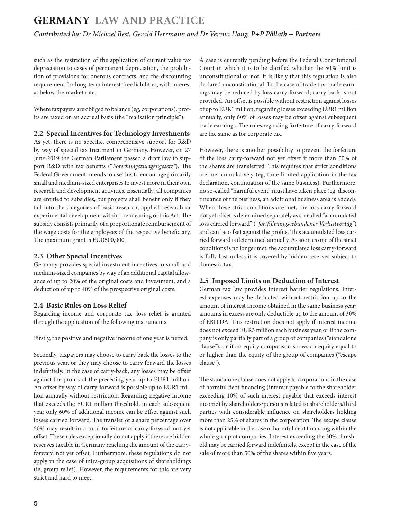# <span id="page-4-0"></span>**GERMANY LAw AND PRACTICE**

**Contributed by:** Dr Michael Best, Gerald Herrmann and Dr Verena Hang, **P+P Pöllath + Partners**

such as the restriction of the application of current value tax depreciation to cases of permanent depreciation, the prohibition of provisions for onerous contracts, and the discounting requirement for long-term interest-free liabilities, with interest at below the market rate.

Where taxpayers are obliged to balance (eg, corporations), profits are taxed on an accrual basis (the "realisation principle").

#### **2.2 Special Incentives for Technology Investments**

As yet, there is no specific, comprehensive support for R&D by way of special tax treatment in Germany. However, on 27 June 2019 the German Parliament passed a draft law to support R&D with tax benefits ("Forschungszulagengesetz"). The Federal Government intends to use this to encourage primarily small and medium-sized enterprises to invest more in their own research and development activities. Essentially, all companies are entitled to subsidies, but projects shall benefit only if they fall into the categories of basic research, applied research or experimental development within the meaning of this Act. The subsidy consists primarily of a proportionate reimbursement of the wage costs for the employees of the respective beneficiary. The maximum grant is EUR500,000.

#### **2.3 Other Special Incentives**

Germany provides special investment incentives to small and medium-sized companies by way of an additional capital allowance of up to 20% of the original costs and investment, and a deduction of up to 40% of the prospective original costs.

#### **2.4 Basic Rules on Loss Relief**

Regarding income and corporate tax, loss relief is granted through the application of the following instruments.

Firstly, the positive and negative income of one year is netted.

Secondly, taxpayers may choose to carry back the losses to the previous year, or they may choose to carry forward the losses indefinitely. In the case of carry-back, any losses may be offset against the profits of the preceding year up to EUR1 million. An offset by way of carry-forward is possible up to EUR1 million annually without restriction. Regarding negative income that exceeds the EUR1 million threshold, in each subsequent year only 60% of additional income can be offset against such losses carried forward. The transfer of a share percentage over 50% may result in a total forfeiture of carry-forward not yet offset. These rules exceptionally do not apply if there are hidden reserves taxable in Germany reaching the amount of the carryforward not yet offset. Furthermore, these regulations do not apply in the case of intra-group acquisitions of shareholdings (ie, group relief). However, the requirements for this are very strict and hard to meet.

A case is currently pending before the Federal Constitutional Court in which it is to be clarified whether the 50% limit is unconstitutional or not. It is likely that this regulation is also declared unconstitutional. In the case of trade tax, trade earnings may be reduced by loss carry-forward; carry-back is not provided. An offset is possible without restriction against losses of up to EUR1 million; regarding losses exceeding EUR1 million annually, only 60% of losses may be offset against subsequent trade earnings. The rules regarding forfeiture of carry-forward are the same as for corporate tax.

However, there is another possibility to prevent the forfeiture of the loss carry-forward not yet offset if more than 50% of the shares are transferred. This requires that strict conditions are met cumulatively (eg, time-limited application in the tax declaration, continuation of the same business). Furthermore, no so-called "harmful event" must have taken place (eg, discontinuance of the business, an additional business area is added). When these strict conditions are met, the loss carry-forward not yet offset is determined separately as so-called "accumulated loss carried forward" ("fortführungsgebundener Verlustvortag") and can be offset against the profits. This accumulated loss carried forward is determined annually. As soon as one of the strict conditions is no longer met, the accumulated loss carry-forward is fully lost unless it is covered by hidden reserves subject to domestic tax.

#### **2.5 Imposed Limits on Deduction of Interest**

German tax law provides interest barrier regulations. Interest expenses may be deducted without restriction up to the amount of interest income obtained in the same business year; amounts in excess are only deductible up to the amount of 30% of EBITDA. This restriction does not apply if interest income does not exceed EUR3 million each business year, or if the company is only partially part of a group of companies ("standalone clause"), or if an equity comparison shows an equity equal to or higher than the equity of the group of companies ("escape clause").

The standalone clause does not apply to corporations in the case of harmful debt financing (interest payable to the shareholder exceeding 10% of such interest payable that exceeds interest income) by shareholders/persons related to shareholders/third parties with considerable influence on shareholders holding more than 25% of shares in the corporation. The escape clause is not applicable in the case of harmful debt financing within the whole group of companies. Interest exceeding the 30% threshold may be carried forward indefinitely, except in the case of the sale of more than 50% of the shares within five years.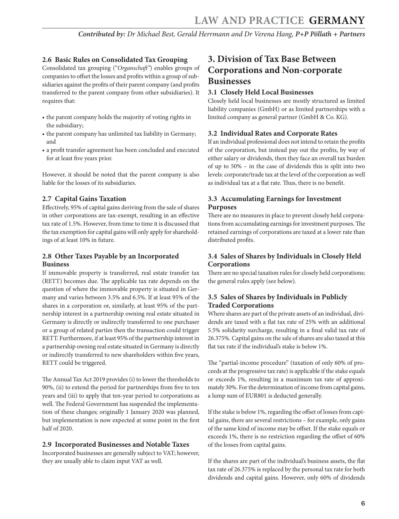#### <span id="page-5-0"></span>**2.6 Basic Rules on Consolidated Tax Grouping**

Consolidated tax grouping ("Organschaft") enables groups of companies to offset the losses and profits within a group of subsidiaries against the profits of their parent company (and profits transferred to the parent company from other subsidiaries). It requires that:

- the parent company holds the majority of voting rights in the subsidiary;
- the parent company has unlimited tax liability in Germany; and
- a profit transfer agreement has been concluded and executed for at least five years prior.

However, it should be noted that the parent company is also liable for the losses of its subsidiaries.

#### **2.7 Capital Gains Taxation**

Effectively, 95% of capital gains deriving from the sale of shares in other corporations are tax-exempt, resulting in an effective tax rate of 1.5%. However, from time to time it is discussed that the tax exemption for capital gains will only apply for shareholdings of at least 10% in future.

#### **2.8 Other Taxes Payable by an Incorporated Business**

If immovable property is transferred, real estate transfer tax (RETT) becomes due. The applicable tax rate depends on the question of where the immovable property is situated in Germany and varies between 3.5% and 6.5%. If at least 95% of the shares in a corporation or, similarly, at least 95% of the partnership interest in a partnership owning real estate situated in Germany is directly or indirectly transferred to one purchaser or a group of related parties then the transaction could trigger RETT. Furthermore, if at least 95% of the partnership interest in a partnership owning real estate situated in Germany is directly or indirectly transferred to new shareholders within five years, RETT could be triggered.

The Annual Tax Act 2019 provides (i) to lower the thresholds to 90%, (ii) to extend the period for partnerships from five to ten years and (iii) to apply that ten-year period to corporations as well. The Federal Government has suspended the implementation of these changes; originally 1 January 2020 was planned, but implementation is now expected at some point in the first half of 2020.

#### **2.9 Incorporated Businesses and Notable Taxes**

Incorporated businesses are generally subject to VAT; however, they are usually able to claim input VAT as well.

# **3. Division of Tax Base Between Corporations and Non-corporate Businesses**

#### **3.1 Closely Held Local Businesses**

Closely held local businesses are mostly structured as limited liability companies (GmbH) or as limited partnerships with a limited company as general partner (GmbH & Co. KG).

#### **3.2 Individual Rates and Corporate Rates**

If an individual professional does not intend to retain the profits of the corporation, but instead pay out the profits, by way of either salary or dividends, then they face an overall tax burden of up to 50% – in the case of dividends this is split into two levels: corporate/trade tax at the level of the corporation as well as individual tax at a flat rate. Thus, there is no benefit.

#### **3.3 Accumulating Earnings for Investment Purposes**

There are no measures in place to prevent closely held corporations from accumulating earnings for investment purposes. The retained earnings of corporations are taxed at a lower rate than distributed profits.

#### **3.4 Sales of Shares by Individuals in Closely Held Corporations**

There are no special taxation rules for closely held corporations; the general rules apply (see below).

#### **3.5 Sales of Shares by Individuals in Publicly Traded Corporations**

Where shares are part of the private assets of an individual, dividends are taxed with a flat tax rate of 25% with an additional 5.5% solidarity surcharge, resulting in a final valid tax rate of 26.375%. Capital gains on the sale of shares are also taxed at this flat tax rate if the individual's stake is below 1%.

The "partial-income procedure" (taxation of only 60% of proceeds at the progressive tax rate) is applicable if the stake equals or exceeds 1%, resulting in a maximum tax rate of approximately 30%. For the determination of income from capital gains, a lump sum of EUR801 is deducted generally.

If the stake is below 1%, regarding the offset of losses from capital gains, there are several restrictions – for example, only gains of the same kind of income may be offset. If the stake equals or exceeds 1%, there is no restriction regarding the offset of 60% of the losses from capital gains.

If the shares are part of the individual's business assets, the flat tax rate of 26.375% is replaced by the personal tax rate for both dividends and capital gains. However, only 60% of dividends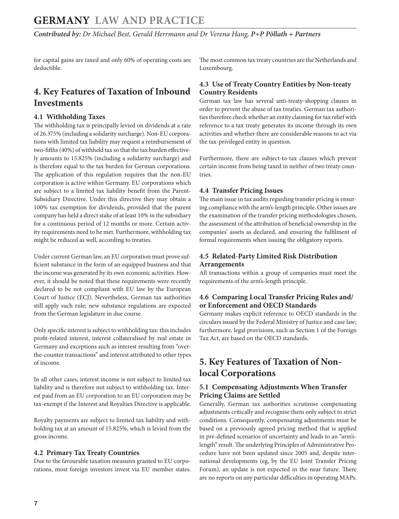<span id="page-6-0"></span>for capital gains are taxed and only 60% of operating costs are deductible.

# **4. Key Features of Taxation of Inbound Investments**

#### **4.1 withholding Taxes**

The withholding tax is principally levied on dividends at a rate of 26.375% (including a solidarity surcharge). Non-EU corporations with limited tax liability may request a reimbursement of two-fifths (40%) of withheld tax so that the tax burden effectively amounts to 15.825% (including a solidarity surcharge) and is therefore equal to the tax burden for German corporations. The application of this regulation requires that the non-EU corporation is active within Germany. EU corporations which are subject to a limited tax liability benefit from the Parent-Subsidiary Directive. Under this directive they may obtain a 100% tax exemption for dividends, provided that the parent company has held a direct stake of at least 10% in the subsidiary for a continuous period of 12 months or more. Certain activity requirements need to be met. Furthermore, withholding tax might be reduced as well, according to treaties.

Under current German law, an EU corporation must prove sufficient substance in the form of an equipped business and that the income was generated by its own economic activities. However, it should be noted that these requirements were recently declared to be not compliant with EU law by the European Court of Justice (ECJ). Nevertheless, German tax authorities still apply such rule; new substance regulations are expected from the German legislature in due course.

Only specific interest is subject to withholding tax: this includes profit-related interest, interest collateralised by real estate in Germany and exceptions such as interest resulting from "overthe-counter transactions" and interest attributed to other types of income.

In all other cases, interest income is not subject to limited tax liability and is therefore not subject to withholding tax. Interest paid from an EU corporation to an EU corporation may be tax-exempt if the Interest and Royalties Directive is applicable.

Royalty payments are subject to limited tax liability and withholding tax at an amount of 15.825%, which is levied from the gross income.

#### **4.2 Primary Tax Treaty Countries**

Due to the favourable taxation measures granted to EU corporations, most foreign investors invest via EU member states. The most common tax treaty countries are the Netherlands and Luxembourg.

#### **4.3 Use of Treaty Country Entities by Non-treaty Country Residents**

German tax law has several anti-treaty-shopping clauses in order to prevent the abuse of tax treaties. German tax authorities therefore check whether an entity claiming for tax relief with reference to a tax treaty generates its income through its own activities and whether there are considerable reasons to act via the tax-privileged entity in question.

Furthermore, there are subject-to-tax clauses which prevent certain income from being taxed in neither of two treaty countries.

#### **4.4 Transfer Pricing Issues**

The main issue in tax audits regarding transfer pricing is ensuring compliance with the arm's-length principle. Other issues are the examination of the transfer pricing methodologies chosen, the assessment of the attribution of beneficial ownership in the companies' assets as declared, and ensuring the fulfilment of formal requirements when issuing the obligatory reports.

#### **4.5 Related-Party Limited Risk Distribution Arrangements**

All transactions within a group of companies must meet the requirements of the arm's-length principle.

#### **4.6 Comparing Local Transfer Pricing Rules and/ or Enforcement and OECD Standards**

Germany makes explicit reference to OECD standards in the circulars issued by the Federal Ministry of Justice and case law; furthermore, legal provisions, such as Section 1 of the Foreign Tax Act, are based on the OECD standards.

# **5. Key Features of Taxation of Nonlocal Corporations**

#### **5.1 Compensating Adjustments when Transfer Pricing Claims are Settled**

Generally, German tax authorities scrutinise compensating adjustments critically and recognise them only subject to strict conditions. Consequently, compensating adjustments must be based on a previously agreed pricing method that is applied in pre-defined scenarios of uncertainty and leads to an "arm'slength" result. The underlying Principles of Administrative Procedure have not been updated since 2005 and, despite international developments (eg, by the EU Joint Transfer Pricing Forum), an update is not expected in the near future. There are no reports on any particular difficulties in operating MAPs.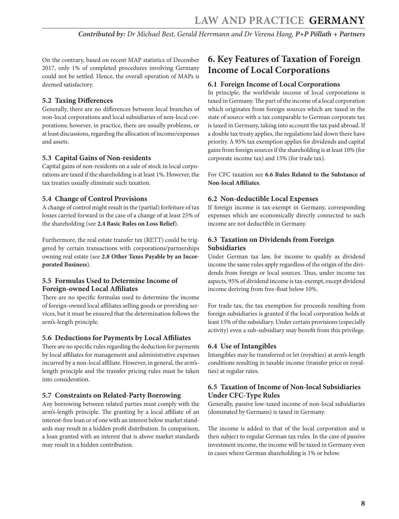<span id="page-7-0"></span>On the contrary, based on recent MAP statistics of December 2017, only 1% of completed procedures involving Germany could not be settled. Hence, the overall operation of MAPs is deemed satisfactory.

#### **5.2 Taxing Differences**

Generally, there are no differences between local branches of non-local corporations and local subsidiaries of non-local corporations; however, in practice, there are usually problems, or at least discussions, regarding the allocation of income/expenses and assets.

#### **5.3 Capital Gains of Non-residents**

Capital gains of non-residents on a sale of stock in local corporations are taxed if the shareholding is at least 1%. However, the tax treaties usually eliminate such taxation.

#### **5.4 Change of Control Provisions**

A change of control might result in the (partial) forfeiture of tax losses carried forward in the case of a change of at least 25% of the shareholding (see **2.4 Basic Rules on Loss Relief**).

Furthermore, the real estate transfer tax (RETT) could be triggered by certain transactions with corporations/partnerships owning real estate (see **2.8 Other Taxes Payable by an Incorporated Business**).

#### **5.5 Formulas Used to Determine Income of Foreign-owned Local Affiliates**

There are no specific formulas used to determine the income of foreign-owned local affiliates selling goods or providing services, but it must be ensured that the determination follows the arm's-length principle.

#### **5.6 Deductions for Payments by Local Affiliates**

There are no specific rules regarding the deduction for payments by local affiliates for management and administrative expenses incurred by a non-local affiliate. However, in general, the arm'slength principle and the transfer pricing rules must be taken into consideration.

#### **5.7 Constraints on Related-Party Borrowing**

Any borrowing between related parties must comply with the arm's-length principle. The granting by a local affiliate of an interest-free loan or of one with an interest below market standards may result in a hidden profit distribution. In comparison, a loan granted with an interest that is above market standards may result in a hidden contribution.

### **6. Key Features of Taxation of Foreign Income of Local Corporations**

#### **6.1 Foreign Income of Local Corporations**

In principle, the worldwide income of local corporations is taxed in Germany. The part of the income of a local corporation which originates from foreign sources which are taxed in the state of source with a tax comparable to German corporate tax is taxed in Germany, taking into account the tax paid abroad. If a double tax treaty applies, the regulations laid down there have priority. A 95% tax exemption applies for dividends and capital gains from foreign sources if the shareholding is at least 10% (for corporate income tax) and 15% (for trade tax).

For CFC taxation see **6.6 Rules Related to the Substance of Non-local Affiliates**.

#### **6.2 Non-deductible Local Expenses**

If foreign income is tax-exempt in Germany, corresponding expenses which are economically directly connected to such income are not deductible in Germany.

#### **6.3 Taxation on Dividends from Foreign Subsidiaries**

Under German tax law, for income to qualify as dividend income the same rules apply regardless of the origin of the dividends from foreign or local sources. Thus, under income tax aspects, 95% of dividend income is tax-exempt, except dividend income deriving from free-float below 10%.

For trade tax, the tax exemption for proceeds resulting from foreign subsidiaries is granted if the local corporation holds at least 15% of the subsidiary. Under certain provisions (especially activity) even a sub-subsidiary may benefit from this privilege.

#### **6.4 Use of Intangibles**

Intangibles may be transferred or let (royalties) at arm's-length conditions resulting in taxable income (transfer price or royalties) at regular rates.

#### **6.5 Taxation of Income of Non-local Subsidiaries Under CFC-Type Rules**

Generally, passive low-taxed income of non-local subsidiaries (dominated by Germans) is taxed in Germany.

The income is added to that of the local corporation and is then subject to regular German tax rules. In the case of passive investment income, the income will be taxed in Germany even in cases where German shareholding is 1% or below.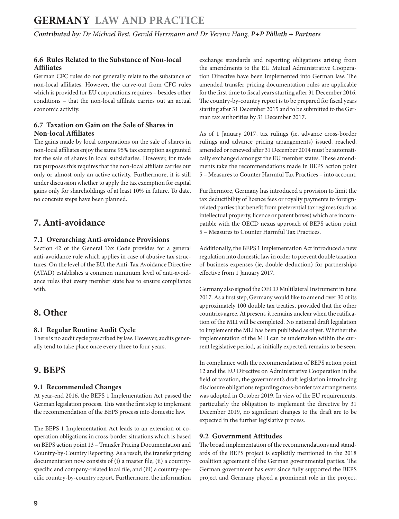#### <span id="page-8-0"></span>**6.6 Rules Related to the Substance of Non-local Affiliates**

German CFC rules do not generally relate to the substance of non-local affiliates. However, the carve-out from CFC rules which is provided for EU corporations requires – besides other conditions – that the non-local affiliate carries out an actual economic activity.

#### **6.7 Taxation on Gain on the Sale of Shares in Non-local Affiliates**

The gains made by local corporations on the sale of shares in non-local affiliates enjoy the same 95% tax exemption as granted for the sale of shares in local subsidiaries. However, for trade tax purposes this requires that the non-local affiliate carries out only or almost only an active activity. Furthermore, it is still under discussion whether to apply the tax exemption for capital gains only for shareholdings of at least 10% in future. To date, no concrete steps have been planned.

# **7. Anti-avoidance**

#### **7.1 Overarching Anti-avoidance Provisions**

Section 42 of the General Tax Code provides for a general anti-avoidance rule which applies in case of abusive tax structures. On the level of the EU, the Anti-Tax Avoidance Directive (ATAD) establishes a common minimum level of anti-avoidance rules that every member state has to ensure compliance with.

# **8. Other**

#### **8.1 Regular Routine Audit Cycle**

There is no audit cycle prescribed by law. However, audits generally tend to take place once every three to four years.

# **9. BEPS**

#### **9.1 Recommended Changes**

At year-end 2016, the BEPS 1 Implementation Act passed the German legislation process. This was the first step to implement the recommendation of the BEPS process into domestic law.

The BEPS 1 Implementation Act leads to an extension of cooperation obligations in cross-border situations which is based on BEPS action point 13 – Transfer Pricing Documentation and Country-by-Country Reporting. As a result, the transfer pricing documentation now consists of (i) a master file, (ii) a countryspecific and company-related local file, and (iii) a country-specific country-by-country report. Furthermore, the information exchange standards and reporting obligations arising from the amendments to the EU Mutual Administrative Cooperation Directive have been implemented into German law. The amended transfer pricing documentation rules are applicable for the first time to fiscal years starting after 31 December 2016. The country-by-country report is to be prepared for fiscal years starting after 31 December 2015 and to be submitted to the German tax authorities by 31 December 2017.

As of 1 January 2017, tax rulings (ie, advance cross-border rulings and advance pricing arrangements) issued, reached, amended or renewed after 31 December 2014 must be automatically exchanged amongst the EU member states. These amendments take the recommendations made in BEPS action point 5 – Measures to Counter Harmful Tax Practices – into account.

Furthermore, Germany has introduced a provision to limit the tax deductibility of licence fees or royalty payments to foreignrelated parties that benefit from preferential tax regimes (such as intellectual property, licence or patent boxes) which are incompatible with the OECD nexus approach of BEPS action point 5 – Measures to Counter Harmful Tax Practices.

Additionally, the BEPS 1 Implementation Act introduced a new regulation into domestic law in order to prevent double taxation of business expenses (ie, double deduction) for partnerships effective from 1 January 2017.

Germany also signed the OECD Multilateral Instrument in June 2017. As a first step, Germany would like to amend over 30 of its approximately 100 double tax treaties, provided that the other countries agree. At present, it remains unclear when the ratification of the MLI will be completed. No national draft legislation to implement the MLI has been published as of yet. Whether the implementation of the MLI can be undertaken within the current legislative period, as initially expected, remains to be seen.

In compliance with the recommendation of BEPS action point 12 and the EU Directive on Administrative Cooperation in the field of taxation, the government's draft legislation introducing disclosure obligations regarding cross-border tax arrangements was adopted in October 2019. In view of the EU requirements, particularly the obligation to implement the directive by 31 December 2019, no significant changes to the draft are to be expected in the further legislative process.

#### **9.2 Government Attitudes**

The broad implementation of the recommendations and standards of the BEPS project is explicitly mentioned in the 2018 coalition agreement of the German governmental parties. The German government has ever since fully supported the BEPS project and Germany played a prominent role in the project,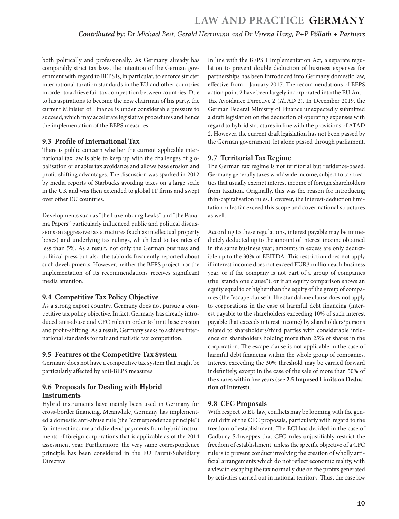<span id="page-9-0"></span>both politically and professionally. As Germany already has comparably strict tax laws, the intention of the German government with regard to BEPS is, in particular, to enforce stricter international taxation standards in the EU and other countries in order to achieve fair tax competition between countries. Due to his aspirations to become the new chairman of his party, the current Minister of Finance is under considerable pressure to succeed, which may accelerate legislative procedures and hence the implementation of the BEPS measures.

#### **9.3 Profile of International Tax**

There is public concern whether the current applicable international tax law is able to keep up with the challenges of globalisation or enables tax avoidance and allows base erosion and profit-shifting advantages. The discussion was sparked in 2012 by media reports of Starbucks avoiding taxes on a large scale in the UK and was then extended to global IT firms and swept over other EU countries.

Developments such as "the Luxembourg Leaks" and "the Panama Papers" particularly influenced public and political discussions on aggressive tax structures (such as intellectual property boxes) and underlying tax rulings, which lead to tax rates of less than 5%. As a result, not only the German business and political press but also the tabloids frequently reported about such developments. However, neither the BEPS project nor the implementation of its recommendations receives significant media attention.

#### **9.4 Competitive Tax Policy Objective**

As a strong export country, Germany does not pursue a competitive tax policy objective. In fact, Germany has already introduced anti-abuse and CFC rules in order to limit base erosion and profit-shifting. As a result, Germany seeks to achieve international standards for fair and realistic tax competition.

#### **9.5 Features of the Competitive Tax System**

Germany does not have a competitive tax system that might be particularly affected by anti-BEPS measures.

#### **9.6 Proposals for Dealing with Hybrid Instruments**

Hybrid instruments have mainly been used in Germany for cross-border financing. Meanwhile, Germany has implemented a domestic anti-abuse rule (the "correspondence principle") for interest income and dividend payments from hybrid instruments of foreign corporations that is applicable as of the 2014 assessment year. Furthermore, the very same correspondence principle has been considered in the EU Parent-Subsidiary Directive.

In line with the BEPS 1 Implementation Act, a separate regulation to prevent double deduction of business expenses for partnerships has been introduced into Germany domestic law, effective from 1 January 2017. The recommendations of BEPS action point 2 have been largely incorporated into the EU Anti-Tax Avoidance Directive 2 (ATAD 2). In December 2019, the German Federal Ministry of Finance unexpectedly submitted a draft legislation on the deduction of operating expenses with regard to hybrid structures in line with the provisions of ATAD 2. However, the current draft legislation has not been passed by the German government, let alone passed through parliament.

#### **9.7 Territorial Tax Regime**

The German tax regime is not territorial but residence-based. Germany generally taxes worldwide income, subject to tax treaties that usually exempt interest income of foreign shareholders from taxation. Originally, this was the reason for introducing thin-capitalisation rules. However, the interest-deduction limitation rules far exceed this scope and cover national structures as well.

According to these regulations, interest payable may be immediately deducted up to the amount of interest income obtained in the same business year; amounts in excess are only deductible up to the 30% of EBITDA. This restriction does not apply if interest income does not exceed EUR3 million each business year, or if the company is not part of a group of companies (the "standalone clause"), or if an equity comparison shows an equity equal to or higher than the equity of the group of companies (the "escape clause"). The standalone clause does not apply to corporations in the case of harmful debt financing (interest payable to the shareholders exceeding 10% of such interest payable that exceeds interest income) by shareholders/persons related to shareholders/third parties with considerable influence on shareholders holding more than 25% of shares in the corporation. The escape clause is not applicable in the case of harmful debt financing within the whole group of companies. Interest exceeding the 30% threshold may be carried forward indefinitely, except in the case of the sale of more than 50% of the shares within five years (see **2.5 Imposed Limits on Deduction of Interest**).

#### **9.8 CFC Proposals**

With respect to EU law, conflicts may be looming with the general drift of the CFC proposals, particularly with regard to the freedom of establishment. The ECJ has decided in the case of Cadbury Schweppes that CFC rules unjustifiably restrict the freedom of establishment, unless the specific objective of a CFC rule is to prevent conduct involving the creation of wholly artificial arrangements which do not reflect economic reality, with a view to escaping the tax normally due on the profits generated by activities carried out in national territory. Thus, the case law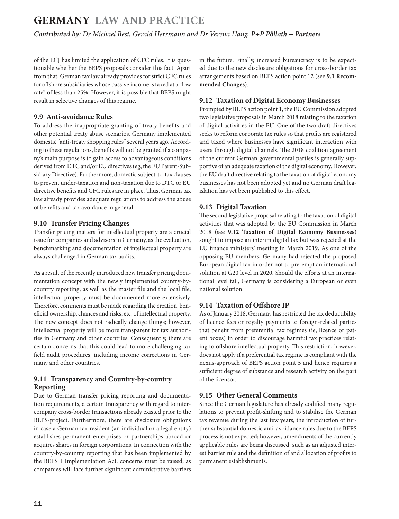<span id="page-10-0"></span>of the ECJ has limited the application of CFC rules. It is questionable whether the BEPS proposals consider this fact. Apart from that, German tax law already provides for strict CFC rules for offshore subsidiaries whose passive income is taxed at a "low rate" of less than 25%. However, it is possible that BEPS might result in selective changes of this regime.

#### **9.9 Anti-avoidance Rules**

To address the inappropriate granting of treaty benefits and other potential treaty abuse scenarios, Germany implemented domestic "anti-treaty shopping rules" several years ago. According to these regulations, benefits will not be granted if a company's main purpose is to gain access to advantageous conditions derived from DTC and/or EU directives (eg, the EU Parent-Subsidiary Directive). Furthermore, domestic subject-to-tax clauses to prevent under-taxation and non-taxation due to DTC or EU directive benefits and CFC rules are in place. Thus, German tax law already provides adequate regulations to address the abuse of benefits and tax avoidance in general.

#### **9.10 Transfer Pricing Changes**

Transfer pricing matters for intellectual property are a crucial issue for companies and advisors in Germany, as the evaluation, benchmarking and documentation of intellectual property are always challenged in German tax audits.

As a result of the recently introduced new transfer pricing documentation concept with the newly implemented country-bycountry reporting, as well as the master file and the local file, intellectual property must be documented more extensively. Therefore, comments must be made regarding the creation, beneficial ownership, chances and risks, etc, of intellectual property. The new concept does not radically change things; however, intellectual property will be more transparent for tax authorities in Germany and other countries. Consequently, there are certain concerns that this could lead to more challenging tax field audit procedures, including income corrections in Germany and other countries.

#### **9.11 Transparency and Country-by-country Reporting**

Due to German transfer pricing reporting and documentation requirements, a certain transparency with regard to intercompany cross-border transactions already existed prior to the BEPS-project. Furthermore, there are disclosure obligations in case a German tax resident (an individual or a legal entity) establishes permanent enterprises or partnerships abroad or acquires shares in foreign corporations. In connection with the country-by-country reporting that has been implemented by the BEPS 1 Implementation Act, concerns must be raised, as companies will face further significant administrative barriers in the future. Finally, increased bureaucracy is to be expected due to the new disclosure obligations for cross-border tax arrangements based on BEPS action point 12 (see **9.1 Recommended Changes**).

#### **9.12 Taxation of Digital Economy Businesses**

Prompted by BEPS action point 1, the EU Commission adopted two legislative proposals in March 2018 relating to the taxation of digital activities in the EU. One of the two draft directives seeks to reform corporate tax rules so that profits are registered and taxed where businesses have significant interaction with users through digital channels. The 2018 coalition agreement of the current German governmental parties is generally supportive of an adequate taxation of the digital economy. However, the EU draft directive relating to the taxation of digital economy businesses has not been adopted yet and no German draft legislation has yet been published to this effect.

#### **9.13 Digital Taxation**

The second legislative proposal relating to the taxation of digital activities that was adopted by the EU Commission in March 2018 (see **9.12 Taxation of Digital Economy Businesses**) sought to impose an interim digital tax but was rejected at the EU finance ministers' meeting in March 2019. As one of the opposing EU members, Germany had rejected the proposed European digital tax in order not to pre-empt an international solution at G20 level in 2020. Should the efforts at an international level fail, Germany is considering a European or even national solution.

#### **9.14 Taxation of Offshore IP**

As of January 2018, Germany has restricted the tax deductibility of licence fees or royalty payments to foreign-related parties that benefit from preferential tax regimes (ie, licence or patent boxes) in order to discourage harmful tax practices relating to offshore intellectual property. This restriction, however, does not apply if a preferential tax regime is compliant with the nexus-approach of BEPS action point 5 and hence requires a sufficient degree of substance and research activity on the part of the licensor.

#### **9.15 Other General Comments**

Since the German legislature has already codified many regulations to prevent profit-shifting and to stabilise the German tax revenue during the last few years, the introduction of further substantial domestic anti-avoidance rules due to the BEPS process is not expected; however, amendments of the currently applicable rules are being discussed, such as an adjusted interest barrier rule and the definition of and allocation of profits to permanent establishments.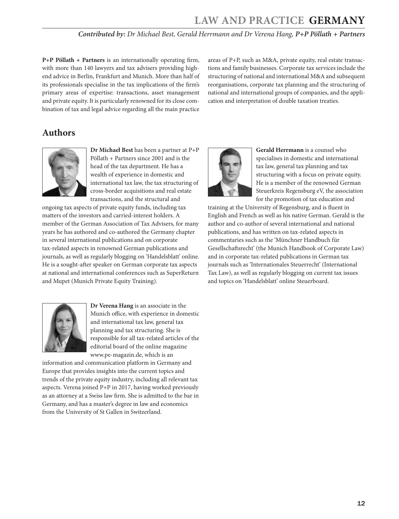**P+P Pöllath + Partners** is an internationally operating firm, with more than 140 lawyers and tax advisers providing highend advice in Berlin, Frankfurt and Munich. More than half of its professionals specialise in the tax implications of the firm's primary areas of expertise: transactions, asset management and private equity. It is particularly renowned for its close combination of tax and legal advice regarding all the main practice areas of P+P, such as M&A, private equity, real estate transactions and family businesses. Corporate tax services include the structuring of national and international M&A and subsequent reorganisations, corporate tax planning and the structuring of national and international groups of companies, and the application and interpretation of double taxation treaties.

# **Authors**



**Dr Michael Best** has been a partner at P+P Pöllath + Partners since 2001 and is the head of the tax department. He has a wealth of experience in domestic and international tax law, the tax structuring of cross-border acquisitions and real estate transactions, and the structural and

ongoing tax aspects of private equity funds, including tax matters of the investors and carried-interest holders. A member of the German Association of Tax Advisers, for many years he has authored and co-authored the Germany chapter in several international publications and on corporate tax-related aspects in renowned German publications and journals, as well as regularly blogging on 'Handelsblatt' online. He is a sought-after speaker on German corporate tax aspects at national and international conferences such as SuperReturn and Mupet (Munich Private Equity Training).



**Dr Verena Hang** is an associate in the Munich office, with experience in domestic and international tax law, general tax planning and tax structuring. She is responsible for all tax-related articles of the editorial board of the online magazine www.pe-magazin.de, which is an

information and communication platform in Germany and Europe that provides insights into the current topics and trends of the private equity industry, including all relevant tax aspects. Verena joined P+P in 2017, having worked previously as an attorney at a Swiss law firm. She is admitted to the bar in Germany, and has a master's degree in law and economics from the University of St Gallen in Switzerland.



**Gerald Herrmann** is a counsel who specialises in domestic and international tax law, general tax planning and tax structuring with a focus on private equity. He is a member of the renowned German Steuerkreis Regensburg eV, the association for the promotion of tax education and

training at the University of Regensburg, and is fluent in English and French as well as his native German. Gerald is the author and co-author of several international and national publications, and has written on tax-related aspects in commentaries such as the 'Münchner Handbuch für Gesellschaftsrecht' (the Munich Handbook of Corporate Law) and in corporate tax-related publications in German tax journals such as 'Internationales Steuerrecht' (International Tax Law), as well as regularly blogging on current tax issues and topics on 'Handelsblatt' online Steuerboard.